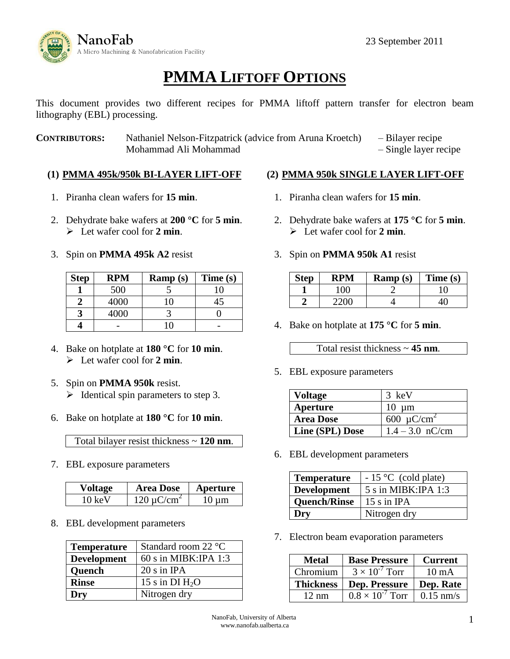

# **PMMA LIFTOFF OPTIONS**

This document provides two different recipes for PMMA liftoff pattern transfer for electron beam lithography (EBL) processing.

**CONTRIBUTORS:** Nathaniel Nelson-Fitzpatrick (advice from Aruna Kroetch) – Bilayer recipe Mohammad Ali Mohammad **and Ali Mohammad** – Single layer recipe

## **(1) PMMA 495k/950k BI-LAYER LIFT-OFF**

- 1. Piranha clean wafers for **15 min**.
- 2. Dehydrate bake wafers at **200 °C** for **5 min**. Let wafer cool for **2 min**.
- 3. Spin on **PMMA 495k A2** resist

| <b>Step</b> | <b>RPM</b> | $\mathbf{Ramp}\left(\mathbf{s}\right)$ | Time (s) |
|-------------|------------|----------------------------------------|----------|
|             | 500        |                                        | 10       |
|             | 4000       |                                        | 45       |
|             | 4000       |                                        |          |
|             |            |                                        |          |

- 4. Bake on hotplate at **180 °C** for **10 min**. Let wafer cool for **2 min**.
- 5. Spin on **PMMA 950k** resist.  $\triangleright$  Identical spin parameters to step 3.
- 6. Bake on hotplate at **180 °C** for **10 min**.

Total bilayer resist thickness ~ **120 nm**.

7. EBL exposure parameters

| Voltage | <b>Area Dose</b>      | Aperture |
|---------|-----------------------|----------|
| 10 keV  | $120 \text{ uC/cm}^2$ | 10 um    |

8. EBL development parameters

| <b>Temperature</b> | Standard room 22 °C    |
|--------------------|------------------------|
| <b>Development</b> | $60$ s in MIBK:IPA 1:3 |
| Quench             | $20 s$ in IPA          |
| <b>Rinse</b>       | 15 s in DI $H_2O$      |
| Dry                | Nitrogen dry           |

#### **(2) PMMA 950k SINGLE LAYER LIFT-OFF**

- 1. Piranha clean wafers for **15 min**.
- 2. Dehydrate bake wafers at **175 °C** for **5 min**. Let wafer cool for **2 min**.
- 3. Spin on **PMMA 950k A1** resist

| <b>Step</b> | RPM  | $\mathbf{Ramp}\left(\mathbf{s}\right)$ | Time(s) |
|-------------|------|----------------------------------------|---------|
|             | 1 N  |                                        |         |
|             | 22OC |                                        |         |

4. Bake on hotplate at **175 °C** for **5 min**.

Total resist thickness ~ **45 nm**.

5. EBL exposure parameters

| Voltage          | 3 keV                       |
|------------------|-----------------------------|
| Aperture         | $10 \mu m$                  |
| <b>Area Dose</b> | 600 $\mu$ C/cm <sup>2</sup> |
| Line (SPL) Dose  | $1.4 - 3.0$ nC/cm           |

6. EBL development parameters

| <b>Temperature</b>  | $-15$ °C (cold plate) |
|---------------------|-----------------------|
| <b>Development</b>  | 5 s in MIBK: IPA 1:3  |
| <b>Quench/Rinse</b> | $15 \sin$ IPA         |
| Dry                 | Nitrogen dry          |

7. Electron beam evaporation parameters

| <b>Metal</b>     | <b>Base Pressure</b>                                  | <b>Current</b>  |
|------------------|-------------------------------------------------------|-----------------|
| Chromium         | $3 \times 10^{-7}$ Torr                               | $10 \text{ mA}$ |
|                  |                                                       |                 |
| <b>Thickness</b> | Dep. Pressure<br>$\overline{0.8} \times 10^{-7}$ Torr | Dep. Rate       |